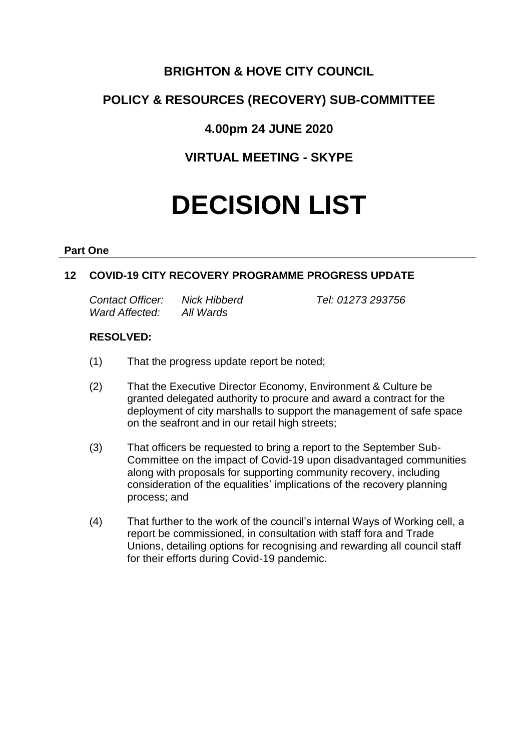# **BRIGHTON & HOVE CITY COUNCIL**

# **POLICY & RESOURCES (RECOVERY) SUB-COMMITTEE**

# **4.00pm 24 JUNE 2020**

# **VIRTUAL MEETING - SKYPE**

# **DECISION LIST**

## **Part One**

# **12 COVID-19 CITY RECOVERY PROGRAMME PROGRESS UPDATE**

*Contact Officer: Nick Hibberd Tel: 01273 293756 Ward Affected: All Wards*

# **RESOLVED:**

- (1) That the progress update report be noted;
- (2) That the Executive Director Economy, Environment & Culture be granted delegated authority to procure and award a contract for the deployment of city marshalls to support the management of safe space on the seafront and in our retail high streets;
- (3) That officers be requested to bring a report to the September Sub-Committee on the impact of Covid-19 upon disadvantaged communities along with proposals for supporting community recovery, including consideration of the equalities' implications of the recovery planning process; and
- (4) That further to the work of the council's internal Ways of Working cell, a report be commissioned, in consultation with staff fora and Trade Unions, detailing options for recognising and rewarding all council staff for their efforts during Covid-19 pandemic.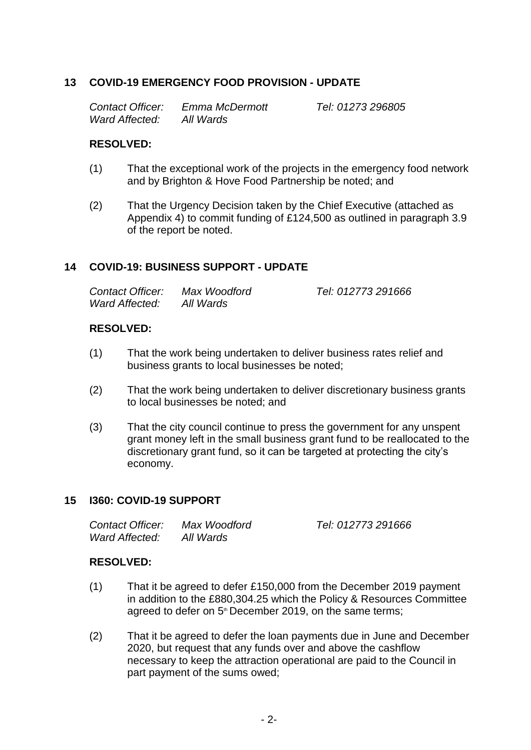# **13 COVID-19 EMERGENCY FOOD PROVISION - UPDATE**

*Contact Officer: Emma McDermott Tel: 01273 296805 Ward Affected: All Wards*

## **RESOLVED:**

- (1) That the exceptional work of the projects in the emergency food network and by Brighton & Hove Food Partnership be noted; and
- (2) That the Urgency Decision taken by the Chief Executive (attached as Appendix 4) to commit funding of £124,500 as outlined in paragraph 3.9 of the report be noted.

## **14 COVID-19: BUSINESS SUPPORT - UPDATE**

| Contact Officer: | Max Woodford | Tel: 012773 291666 |
|------------------|--------------|--------------------|
| Ward Affected:   | All Wards    |                    |

## **RESOLVED:**

- (1) That the work being undertaken to deliver business rates relief and business grants to local businesses be noted;
- (2) That the work being undertaken to deliver discretionary business grants to local businesses be noted; and
- (3) That the city council continue to press the government for any unspent grant money left in the small business grant fund to be reallocated to the discretionary grant fund, so it can be targeted at protecting the city's economy.

#### **15 I360: COVID-19 SUPPORT**

| Contact Officer: | Max Woodford | Tel: 012773 291666 |
|------------------|--------------|--------------------|
| Ward Affected:   | All Wards    |                    |

## **RESOLVED:**

- (1) That it be agreed to defer £150,000 from the December 2019 payment in addition to the £880,304.25 which the Policy & Resources Committee agreed to defer on 5<sup>th</sup> December 2019, on the same terms;
- (2) That it be agreed to defer the loan payments due in June and December 2020, but request that any funds over and above the cashflow necessary to keep the attraction operational are paid to the Council in part payment of the sums owed;